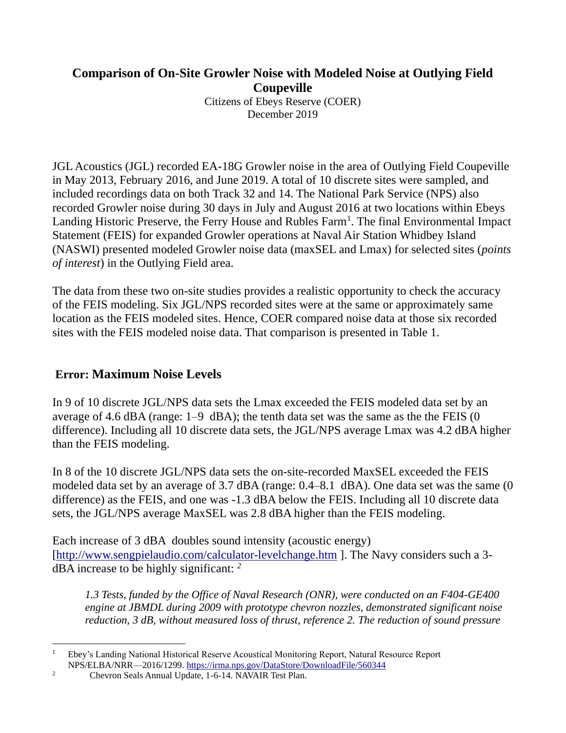## **Comparison of On-Site Growler Noise with Modeled Noise at Outlying Field Coupeville**

Citizens of Ebeys Reserve (COER) December 2019

JGL Acoustics (JGL) recorded EA-18G Growler noise in the area of Outlying Field Coupeville in May 2013, February 2016, and June 2019. A total of 10 discrete sites were sampled, and included recordings data on both Track 32 and 14. The National Park Service (NPS) also recorded Growler noise during 30 days in July and August 2016 at two locations within Ebeys Landing Historic Preserve, the Ferry House and Rubles Farm<sup>1</sup>. The final Environmental Impact Statement (FEIS) for expanded Growler operations at Naval Air Station Whidbey Island (NASWI) presented modeled Growler noise data (maxSEL and Lmax) for selected sites (*points of interest*) in the Outlying Field area.

The data from these two on-site studies provides a realistic opportunity to check the accuracy of the FEIS modeling. Six JGL/NPS recorded sites were at the same or approximately same location as the FEIS modeled sites. Hence, COER compared noise data at those six recorded sites with the FEIS modeled noise data. That comparison is presented in Table 1.

## **Error: Maximum Noise Levels**

In 9 of 10 discrete JGL/NPS data sets the Lmax exceeded the FEIS modeled data set by an average of 4.6 dBA (range: 1–9 dBA); the tenth data set was the same as the the FEIS (0 difference). Including all 10 discrete data sets, the JGL/NPS average Lmax was 4.2 dBA higher than the FEIS modeling.

In 8 of the 10 discrete JGL/NPS data sets the on-site-recorded MaxSEL exceeded the FEIS modeled data set by an average of 3.7 dBA (range: 0.4–8.1 dBA). One data set was the same (0 difference) as the FEIS, and one was -1.3 dBA below the FEIS. Including all 10 discrete data sets, the JGL/NPS average MaxSEL was 2.8 dBA higher than the FEIS modeling.

Each increase of 3 dBA doubles sound intensity (acoustic energy) [\[http://www.sengpielaudio.com/calculator-levelchange.htm](http://www.sengpielaudio.com/calculator-levelchange.htm) ]. The Navy considers such a 3 dBA increase to be highly significant: *<sup>2</sup>*

*1.3 Tests, funded by the Office of Naval Research (ONR), were conducted on an F404-GE400 engine at JBMDL during 2009 with prototype chevron nozzles, demonstrated significant noise reduction, 3 dB, without measured loss of thrust, reference 2. The reduction of sound pressure* 

<sup>1</sup> Ebey's Landing National Historical Reserve Acoustical Monitoring Report, Natural Resource Report NPS/ELBA/NRR—2016/1299.<https://irma.nps.gov/DataStore/DownloadFile/560344>

<sup>2</sup> Chevron Seals Annual Update, 1-6-14. NAVAIR Test Plan.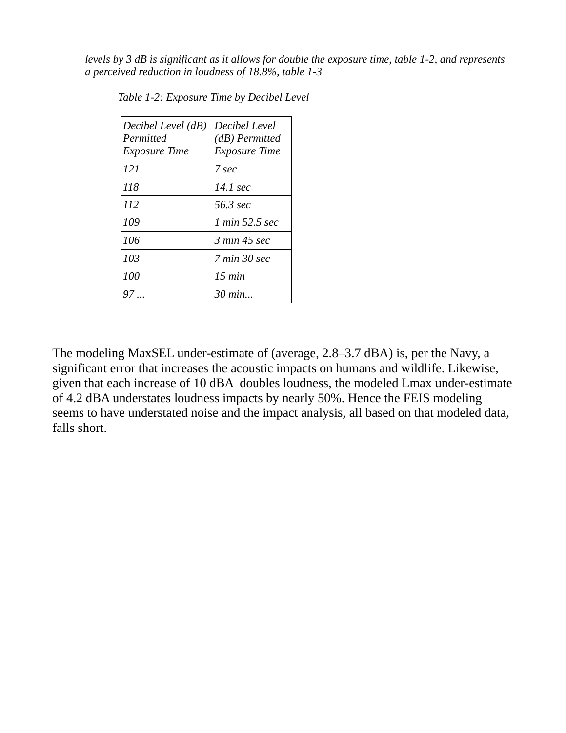*levels by 3 dB is significant as it allows for double the exposure time, table 1-2, and represents a perceived reduction in loudness of 18.8%, table 1-3*

| Decibel Level (dB)<br>Permitted<br><i>Exposure Time</i> | Decibel Level<br>$(d)$ Permitted<br><i>Exposure Time</i> |
|---------------------------------------------------------|----------------------------------------------------------|
| 121                                                     | 7 sec                                                    |
| 118                                                     | 14.1 sec                                                 |
| 112                                                     | 56.3 sec                                                 |
| 109                                                     | 1 min 52.5 sec                                           |
| 106                                                     | 3 min 45 sec                                             |
| 10 <sub>3</sub>                                         | 7 min 30 sec                                             |
| 100                                                     | 15 min                                                   |
|                                                         | $30 \text{ min}$                                         |

*Table 1-2: Exposure Time by Decibel Level* 

The modeling MaxSEL under-estimate of (average, 2.8–3.7 dBA) is, per the Navy, a significant error that increases the acoustic impacts on humans and wildlife. Likewise, given that each increase of 10 dBA doubles loudness, the modeled Lmax under-estimate of 4.2 dBA understates loudness impacts by nearly 50%. Hence the FEIS modeling seems to have understated noise and the impact analysis, all based on that modeled data, falls short.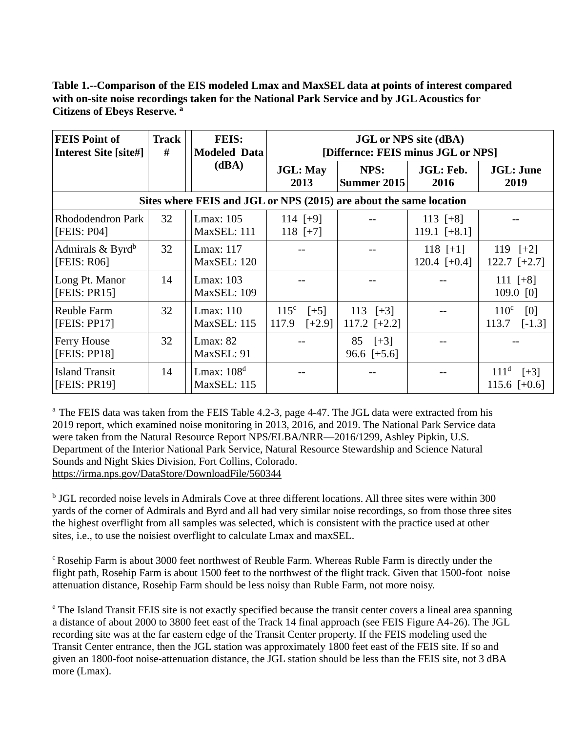**Table 1.--Comparison of the EIS modeled Lmax and MaxSEL data at points of interest compared with on-site noise recordings taken for the National Park Service and by JGL Acoustics for Citizens of Ebeys Reserve. <sup>a</sup>**

| <b>FEIS Point of</b><br><b>Interest Site [site#]</b> | <b>Track</b><br># | <b>FEIS:</b><br><b>Modeled Data</b>                                | <b>JGL</b> or NPS site (dBA)<br>[Differnce: FEIS minus JGL or NPS] |                              |                              |                                              |  |
|------------------------------------------------------|-------------------|--------------------------------------------------------------------|--------------------------------------------------------------------|------------------------------|------------------------------|----------------------------------------------|--|
|                                                      | (dBA)             |                                                                    | <b>JGL: May</b><br>2013                                            | NPS:<br>Summer 2015          | JGL: Feb.<br>2016            | <b>JGL: June</b><br>2019                     |  |
|                                                      |                   | Sites where FEIS and JGL or NPS (2015) are about the same location |                                                                    |                              |                              |                                              |  |
| <b>Rhododendron Park</b><br>[FEIS: P04]              | 32                | Lmax: 105<br>MaxSEL: 111                                           | 114 $[+9]$<br>118 $[+7]$                                           |                              | 113 $[+8]$<br>119.1 $[+8.1]$ |                                              |  |
| Admirals $& Byrd^b$<br>[FEIS: R06]                   | 32                | Lmax: 117<br>MaxSEL: 120                                           |                                                                    |                              | 118 $[+1]$<br>120.4 $[-0.4]$ | 119 $[+2]$<br>$122.7$ [+2.7]                 |  |
| Long Pt. Manor<br>[FEIS: PR15]                       | 14                | Lmax: 103<br>MaxSEL: 109                                           |                                                                    |                              |                              | 111 $[+8]$<br>109.0 [0]                      |  |
| <b>Reuble Farm</b><br>[FEIS: PP17]                   | 32                | Lmax: $110$<br><b>MaxSEL</b> : 115                                 | 115 <sup>c</sup><br>$[+5]$<br>$[-2.9]$<br>117.9                    | 113 $[+3]$<br>117.2 $[-2.2]$ |                              | 110 <sup>c</sup><br>[0]<br>113.7<br>$[-1.3]$ |  |
| Ferry House<br>[FEIS: PP18]                          | 32                | Lmax: $82$<br>MaxSEL: 91                                           |                                                                    | $85 [+3]$<br>96.6 $[+5.6]$   |                              |                                              |  |
| <b>Island Transit</b><br>[FEIS: PR19]                | 14                | Lmax: $108d$<br><b>MaxSEL: 115</b>                                 |                                                                    |                              |                              | 111 <sup>d</sup><br>$[+3]$<br>115.6 $[+0.6]$ |  |

<sup>a</sup> The FEIS data was taken from the FEIS Table 4.2-3, page 4-47. The JGL data were extracted from his 2019 report, which examined noise monitoring in 2013, 2016, and 2019. The National Park Service data were taken from the Natural Resource Report NPS/ELBA/NRR—2016/1299, Ashley Pipkin, U.S. Department of the Interior National Park Service, Natural Resource Stewardship and Science Natural Sounds and Night Skies Division, Fort Collins, Colorado. <https://irma.nps.gov/DataStore/DownloadFile/560344>

<sup>b</sup> JGL recorded noise levels in Admirals Cove at three different locations. All three sites were within 300 yards of the corner of Admirals and Byrd and all had very similar noise recordings, so from those three sites the highest overflight from all samples was selected, which is consistent with the practice used at other sites, i.e., to use the noisiest overflight to calculate Lmax and maxSEL.

<sup>c</sup> Rosehip Farm is about 3000 feet northwest of Reuble Farm. Whereas Ruble Farm is directly under the flight path, Rosehip Farm is about 1500 feet to the northwest of the flight track. Given that 1500-foot noise attenuation distance, Rosehip Farm should be less noisy than Ruble Farm, not more noisy.

<sup>e</sup> The Island Transit FEIS site is not exactly specified because the transit center covers a lineal area spanning a distance of about 2000 to 3800 feet east of the Track 14 final approach (see FEIS Figure A4-26). The JGL recording site was at the far eastern edge of the Transit Center property. If the FEIS modeling used the Transit Center entrance, then the JGL station was approximately 1800 feet east of the FEIS site. If so and given an 1800-foot noise-attenuation distance, the JGL station should be less than the FEIS site, not 3 dBA more (Lmax).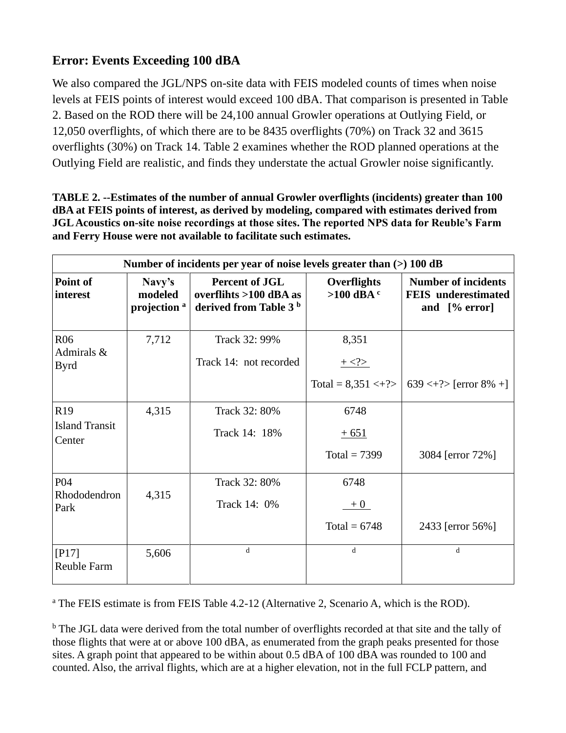## **Error: Events Exceeding 100 dBA**

We also compared the JGL/NPS on-site data with FEIS modeled counts of times when noise levels at FEIS points of interest would exceed 100 dBA. That comparison is presented in Table 2. Based on the ROD there will be 24,100 annual Growler operations at Outlying Field, or 12,050 overflights, of which there are to be 8435 overflights (70%) on Track 32 and 3615 overflights (30%) on Track 14. Table 2 examines whether the ROD planned operations at the Outlying Field are realistic, and finds they understate the actual Growler noise significantly.

| TABLE 2. --Estimates of the number of annual Growler overflights (incidents) greater than 100  |
|------------------------------------------------------------------------------------------------|
| dBA at FEIS points of interest, as derived by modeling, compared with estimates derived from   |
| JGL Acoustics on-site noise recordings at those sites. The reported NPS data for Reuble's Farm |
| and Ferry House were not available to facilitate such estimates.                               |

| Number of incidents per year of noise levels greater than $(>)$ 100 dB |                                              |                                                                                        |                               |                                                                           |
|------------------------------------------------------------------------|----------------------------------------------|----------------------------------------------------------------------------------------|-------------------------------|---------------------------------------------------------------------------|
| Point of<br>interest                                                   | Navy's<br>modeled<br>projection <sup>a</sup> | <b>Percent of JGL</b><br>overflihts $>100$ dBA as<br>derived from Table 3 <sup>b</sup> | Overflights<br>$>100$ dBA $c$ | <b>Number of incidents</b><br><b>FEIS</b> underestimated<br>and [% error] |
| R <sub>06</sub><br>Admirals &<br><b>Byrd</b>                           | 7,712                                        | Track 32: 99%<br>Track 14: not recorded                                                | 8,351<br>$+ < ?>$             |                                                                           |
|                                                                        |                                              |                                                                                        | Total = $8,351 \leq + ?>$     | $639 \leq + ?$ [error 8% +]                                               |
| R <sub>19</sub>                                                        | 4,315                                        | Track 32: 80%                                                                          | 6748                          |                                                                           |
| <b>Island Transit</b><br>Center                                        |                                              | Track 14: 18%                                                                          | $+651$                        |                                                                           |
|                                                                        |                                              |                                                                                        | Total = $7399$                | 3084 [error 72%]                                                          |
| P <sub>04</sub>                                                        |                                              | Track 32: 80%                                                                          | 6748                          |                                                                           |
| Rhododendron<br>Park                                                   | 4,315                                        | Track 14: 0%                                                                           | $+0$                          |                                                                           |
|                                                                        |                                              |                                                                                        | Total = $6748$                | 2433 [error 56%]                                                          |
| $[P17]$<br><b>Reuble Farm</b>                                          | 5,606                                        | $\mathbf d$                                                                            | d                             | d                                                                         |

<sup>a</sup> The FEIS estimate is from FEIS Table 4.2-12 (Alternative 2, Scenario A, which is the ROD).

<sup>b</sup> The JGL data were derived from the total number of overflights recorded at that site and the tally of those flights that were at or above 100 dBA, as enumerated from the graph peaks presented for those sites. A graph point that appeared to be within about 0.5 dBA of 100 dBA was rounded to 100 and counted. Also, the arrival flights, which are at a higher elevation, not in the full FCLP pattern, and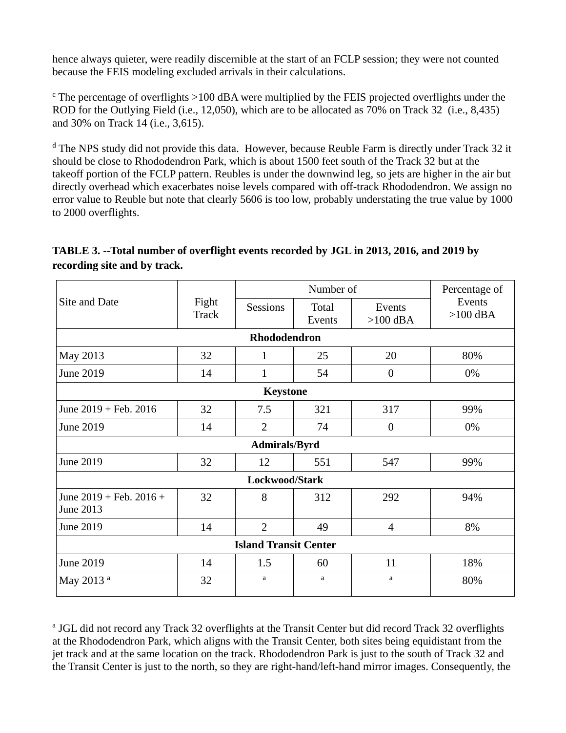hence always quieter, were readily discernible at the start of an FCLP session; they were not counted because the FEIS modeling excluded arrivals in their calculations.

 $\epsilon$ . The percentage of overflights  $>100$  dBA were multiplied by the FEIS projected overflights under the ROD for the Outlying Field (i.e., 12,050), which are to be allocated as 70% on Track 32 (i.e., 8,435) and 30% on Track 14 (i.e., 3,615).

<sup>d</sup> The NPS study did not provide this data. However, because Reuble Farm is directly under Track 32 it should be close to Rhododendron Park, which is about 1500 feet south of the Track 32 but at the takeoff portion of the FCLP pattern. Reubles is under the downwind leg, so jets are higher in the air but directly overhead which exacerbates noise levels compared with off-track Rhododendron. We assign no error value to Reuble but note that clearly 5606 is too low, probably understating the true value by 1000 to 2000 overflights.

## **TABLE 3. --Total number of overflight events recorded by JGL in 2013, 2016, and 2019 by recording site and by track.**

| Site and Date                                  |                | Number of       |                 |                      | Percentage of        |  |  |  |
|------------------------------------------------|----------------|-----------------|-----------------|----------------------|----------------------|--|--|--|
|                                                | Fight<br>Track | <b>Sessions</b> | Total<br>Events | Events<br>$>100$ dBA | Events<br>$>100$ dBA |  |  |  |
|                                                | Rhododendron   |                 |                 |                      |                      |  |  |  |
| May 2013                                       | 32             | 1               | 25              | 20                   | 80%                  |  |  |  |
| June 2019                                      | 14             | 1               | 54              | $\overline{0}$       | 0%                   |  |  |  |
| <b>Keystone</b>                                |                |                 |                 |                      |                      |  |  |  |
| June $2019 + \text{Feb. } 2016$                | 32             | 7.5             | 321             | 317                  | 99%                  |  |  |  |
| June 2019                                      | 14             | $\overline{2}$  | 74              | $\overline{0}$       | 0%                   |  |  |  |
| Admirals/Byrd                                  |                |                 |                 |                      |                      |  |  |  |
| June 2019                                      | 32             | 12              | 551             | 547                  | 99%                  |  |  |  |
| Lockwood/Stark                                 |                |                 |                 |                      |                      |  |  |  |
| June $2019 + \text{Feb. } 2016 +$<br>June 2013 | 32             | 8               | 312             | 292                  | 94%                  |  |  |  |
| June 2019                                      | 14             | $\overline{2}$  | 49              | $\overline{4}$       | 8%                   |  |  |  |
| <b>Island Transit Center</b>                   |                |                 |                 |                      |                      |  |  |  |
| June 2019                                      | 14             | 1.5             | 60              | 11                   | 18%                  |  |  |  |
| May 2013 <sup>a</sup>                          | 32             | a               | a               | a                    | 80%                  |  |  |  |

<sup>a</sup> JGL did not record any Track 32 overflights at the Transit Center but did record Track 32 overflights at the Rhododendron Park, which aligns with the Transit Center, both sites being equidistant from the jet track and at the same location on the track. Rhododendron Park is just to the south of Track 32 and the Transit Center is just to the north, so they are right-hand/left-hand mirror images. Consequently, the